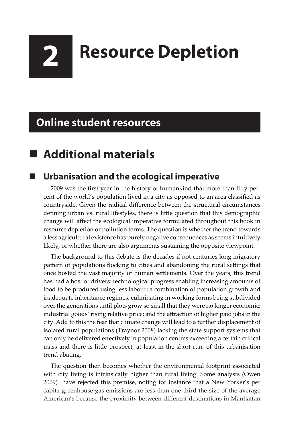# **2 Resource Depletion**

## **Online student resources**

# **Additional materials**

### **Urbanisation and the ecological imperative**

2009 was the first year in the history of humankind that more than fifty percent of the world's population lived in a city as opposed to an area classified as countryside. Given the radical difference between the structural circumstances defining urban vs. rural lifestyles, there is little question that this demographic change will affect the ecological imperative formulated throughout this book in resource depletion or pollution terms. The question is whether the trend towards a less agricultural existence has purely negative consequences as seems intuitively likely, or whether there are also arguments sustaining the opposite viewpoint.

The background to this debate is the decades if not centuries long migratory pattern of populations flocking to cities and abandoning the rural settings that once hosted the vast majority of human settlements. Over the years, this trend has had a host of drivers: technological progress enabling increasing amounts of food to be produced using less labour; a combination of population growth and inadequate inheritance regimes, culminating in working forms being subdivided over the generations until plots grow so small that they were no longer economic; industrial goods' rising relative price; and the attraction of higher paid jobs in the city. Add to this the fear that climate change will lead to a further displacement of isolated rural populations (Traynor 2008) lacking the state support systems that can only be delivered effectively in population centres exceeding a certain critical mass and there is little prospect, at least in the short run, of this urbanisation trend abating.

The question then becomes whether the environmental footprint associated with city living is intrinsically higher than rural living. Some analysts (Owen 2009) have rejected this premise, noting for instance that a New Yorker's per capita greenhouse gas emissions are less than one-third the size of the average American's because the proximity between different destinations in Manhattan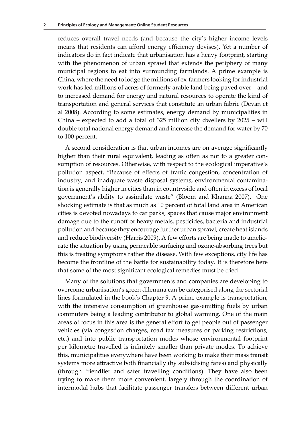reduces overall travel needs (and because the city's higher income levels means that residents can afford energy efficiency devises). Yet a number of indicators do in fact indicate that urbanisation has a heavy footprint, starting with the phenomenon of urban sprawl that extends the periphery of many municipal regions to eat into surrounding farmlands. A prime example is China, where the need to lodge the millions of ex-farmers looking for industrial work has led millions of acres of formerly arable land being paved over – and to increased demand for energy and natural resources to operate the kind of transportation and general services that constitute an urban fabric (Devan et al 2008). According to some estimates, energy demand by municipalities in China – expected to add a total of 325 million city dwellers by 2025 – will double total national energy demand and increase the demand for water by 70 to 100 percent.

A second consideration is that urban incomes are on average significantly higher than their rural equivalent, leading as often as not to a greater consumption of resources. Otherwise, with respect to the ecological imperative's pollution aspect, "Because of effects of traffic congestion, concentration of industry, and inadquate waste disposal systems, environmental contamination is generally higher in cities than in countryside and often in excess of local government's ability to assimilate waste" (Bloom and Khanna 2007). One shocking estimate is that as much as 10 percent of total land area in American cities is devoted nowadays to car parks, spaces that cause major environment damage due to the runoff of heavy metals, pesticides, bacteria and industrial pollution and because they encourage further urban sprawl, create heat islands and reduce biodiversity (Harris 2009). A few efforts are being made to ameliorate the situation by using permeable surfacing and ozone-absorbing trees but this is treating symptoms rather the disease. With few exceptions, city life has become the frontline of the battle for sustainability today. It is therefore here that some of the most significant ecological remedies must be tried.

Many of the solutions that governments and companies are developing to overcome urbanisation's green dilemma can be categorised along the sectorial lines formulated in the book's Chapter 9. A prime example is transportation, with the intensive consumption of greenhouse gas-emitting fuels by urban commuters being a leading contributor to global warming. One of the main areas of focus in this area is the general effort to get people out of passenger vehicles (via congestion charges, road tax measures or parking restrictions, etc.) and into public transportation modes whose environmental footprint per kilometre travelled is infinitely smaller than private modes. To achieve this, municipalities everywhere have been working to make their mass transit systems more attractive both financially (by subsidising fares) and physically (through friendlier and safer travelling conditions). They have also been trying to make them more convenient, largely through the coordination of intermodal hubs that facilitate passenger transfers between different urban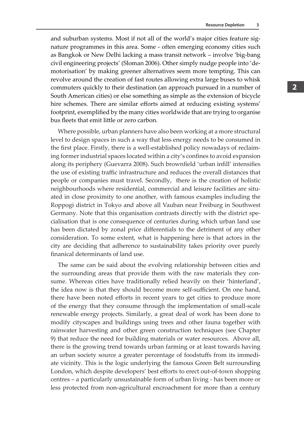and suburban systems. Most if not all of the world's major cities feature signature programmes in this area. Some - often emerging economy cities such as Bangkok or New Delhi lacking a mass transit network – involve 'big-bang civil engineering projects' (Sloman 2006). Other simply nudge people into 'demotorisation' by making greener alternatives seem more tempting. This can revolve around the creation of fast routes allowing extra large buses to whisk commuters quickly to their destination (an approach pursued in a number of South American cities) or else something as simple as the extension of bicycle hire schemes. There are similar efforts aimed at reducing existing systems' footprint, exemplified by the many cities worldwide that are trying to organise bus fleets that emit little or zero carbon.

Where possible, urban planners have also been working at a more structural level to design spaces in such a way that less energy needs to be consumed in the first place. Firstly, there is a well-established policy nowadays of reclaiming former industrial spaces located within a city's confines to avoid expansion along its periphery (Guevarra 2008). Such brownfield 'urban infill' intensifies the use of existing traffic infrastructure and reduces the overall distances that people or companies must travel. Secondly, there is the creation of holistic neighbourhoods where residential, commercial and leisure facilities are situated in close proximity to one another, with famous examples including the Roppogi district in Tokyo and above all Vauban near Freiburg in Southwest Germany. Note that this organisation contrasts directly with the district specialisation that is one consequence of centuries during which urban land use has been dictated by zonal price differentials to the detriment of any other consideration. To some extent, what is happening here is that actors in the city are deciding that adherence to sustainability takes priority over purely finanical determinants of land use.

The same can be said about the evolving relationship between cities and the surrounding areas that provide them with the raw materials they consume. Whereas cities have traditionally relied heavily on their 'hinterland', the idea now is that they should become more self-sufficient. On one hand, there have been noted efforts in recent years to get cities to produce more of the energy that they consume through the implementation of small-scale renewable energy projects. Similarly, a great deal of work has been done to modify cityscapes and buildings using trees and other fauna together with rainwater harvesting and other green construction techniques (see Chapter 9) that reduce the need for building materials or water resources. Above all, there is the growing trend towards urban farming or at least towards having an urban society source a greater percentage of foodstuffs from its immediate vicinity. This is the logic underlying the famous Green Belt surrounding London, which despite developers' best efforts to erect out-of-town shopping centres – a particularly unsustainable form of urban living - has been more or less protected from non-agricultural encroachment for more than a century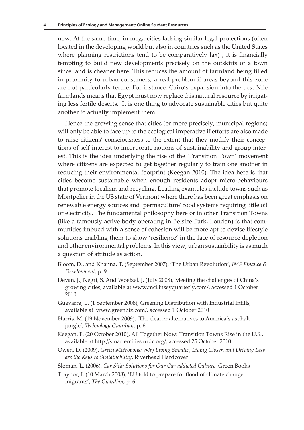now. At the same time, in mega-cities lacking similar legal protections (often located in the developing world but also in countries such as the United States where planning restrictions tend to be comparatively lax) , it is financially tempting to build new developments precisely on the outskirts of a town since land is cheaper here. This reduces the amount of farmland being tilled in proximity to urban consumers, a real problem if areas beyond this zone are not particularly fertile. For instance, Cairo's expansion into the best Nile farmlands means that Egypt must now replace this natural resource by irrigating less fertile deserts. It is one thing to advocate sustainable cities but quite another to actually implement them.

Hence the growing sense that cities (or more precisely, municipal regions) will only be able to face up to the ecological imperative if efforts are also made to raise citizens' consciousness to the extent that they modify their conceptions of self-interest to incorporate notions of sustainability and group interest. This is the idea underlying the rise of the 'Transition Town' movement where citizens are expected to get together regularly to train one another in reducing their environmental footprint (Keegan 2010). The idea here is that cities become sustainable when enough residents adopt micro-behaviours that promote localism and recycling. Leading examples include towns such as Montpelier in the US state of Vermont where there has been great emphasis on renewable energy sources and 'permaculture' food systems requiring little oil or electricity. The fundamental philosophy here or in other Transition Towns (like a famously active body operating in Belsize Park, London) is that communities imbued with a sense of cohesion will be more apt to devise lifestyle solutions enabling them to show 'resilience' in the face of resource depletion and other environmental problems. In this view, urban sustainbility is as much a question of attitude as action.

- Bloom, D., and Khanna, T. (September 2007), 'The Urban Revolution', *IMF Finance & Development*, p. 9
- Devan, J., Negri, S. And Woetzel, J. (July 2008), Meeting the challenges of China's growing cities, available at www.mckinseyquarterly.com/, accessed 1 October 2010
- Guevarra, L. (1 September 2008), Greening Distribution with Industrial Infills, available at www.greenbiz.com/, accessed 1 October 2010
- Harris, M. (19 November 2009), 'The cleaner alternatives to America's asphalt jungle', *Technology Guardian*, p. 6
- Keegan, F. (20 October 2010), All Together Now: Transition Towns Rise in the U.S., available at http://smartercities.nrdc.org/, accessed 25 October 2010
- Owen, D. (2009), *Green Metropolis: Why Living Smaller, Living Closer, and Driving Less are the Keys to Sustainability*, Riverhead Hardcover
- Sloman, L. (2006), *Car Sick: Solutions for Our Car-addicted Culture*, Green Books
- Traynor, I. (10 March 2008), 'EU told to prepare for flood of climate change migrants', *The Guardian*, p. 6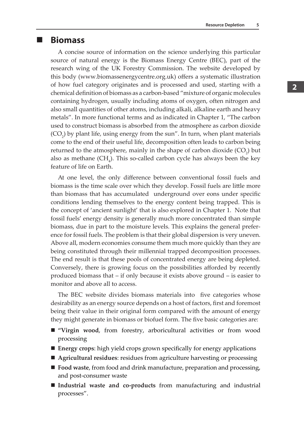### **Biomass**

A concise source of information on the science underlying this particular source of natural energy is the Biomass Energy Centre (BEC), part of the research wing of the UK Forestry Commission. The website developed by this body (www.biomassenergycentre.org.uk) offers a systematic illustration of how fuel category originates and is processed and used, starting with a chemical definition of biomass as a carbon-based "mixture of organic molecules containing hydrogen, usually including atoms of oxygen, often nitrogen and also small quantities of other atoms, including alkali, alkaline earth and heavy metals". In more functional terms and as indicated in Chapter 1, "The carbon used to construct biomass is absorbed from the atmosphere as carbon dioxide  $(CO<sub>2</sub>)$  by plant life, using energy from the sun". In turn, when plant materials come to the end of their useful life, decomposition often leads to carbon being returned to the atmosphere, mainly in the shape of carbon dioxide  $(CO_2)$  but also as methane  $(CH_4)$ . This so-called carbon cycle has always been the key feature of life on Earth.

At one level, the only difference between conventional fossil fuels and biomass is the time scale over which they develop. Fossil fuels are little more than biomass that has accumulated underground over eons under specific conditions lending themselves to the energy content being trapped. This is the concept of 'ancient sunlight' that is also explored in Chapter 1. Note that fossil fuels' energy density is generally much more concentrated than simple biomass, due in part to the moisture levels. This explains the general preference for fossil fuels. The problem is that their global dispersion is very uneven. Above all, modern economies consume them much more quickly than they are being constituted through their millennial trapped decomposition processes. The end result is that these pools of concentrated energy are being depleted. Conversely, there is growing focus on the possibilities afforded by recently produced biomass that – if only because it exists above ground – is easier to monitor and above all to access.

The BEC website divides biomass materials into five categories whose desirability as an energy source depends on a host of factors, first and foremost being their value in their original form compared with the amount of energy they might generate in biomass or biofuel form. The five basic categories are:

- **"Virgin wood**, from forestry, arboricultural activities or from wood processing
- **Energy crops**: high yield crops grown specifically for energy applications
- **Agricultural residues**: residues from agriculture harvesting or processing
- **Food waste**, from food and drink manufacture, preparation and processing, and post-consumer waste
- **Industrial waste and co-products** from manufacturing and industrial processes".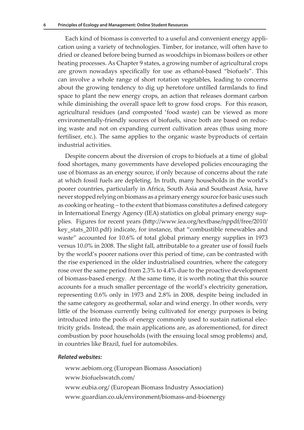Each kind of biomass is converted to a useful and convenient energy application using a variety of technologies. Timber, for instance, will often have to dried or cleaned before being burned as woodchips in biomass boilers or other heating processes. As Chapter 9 states, a growing number of agricultural crops are grown nowadays specifically for use as ethanol-based "biofuels". This can involve a whole range of short rotation vegetables, leading to concerns about the growing tendency to dig up heretofore untilled farmlands to find space to plant the new energy crops, an action that releases dormant carbon while diminishing the overall space left to grow food crops. For this reason, agricultural residues (and composted 'food waste) can be viewed as more environmentally-friendly sources of biofuels, since both are based on reducing waste and not on expanding current cultivation areas (thus using more fertiliser, etc.). The same applies to the organic waste byproducts of certain industrial activities.

Despite concern about the diversion of crops to biofuels at a time of global food shortages, many governments have developed policies encouraging the use of biomass as an energy source, if only because of concerns about the rate at which fossil fuels are depleting. In truth, many households in the world's poorer countries, particularly in Africa, South Asia and Southeast Asia, have never stopped relying on biomass as a primary energy source for basic uses such as cooking or heating – to the extent that biomass constitutes a defined category in International Energy Agency (IEA) statistics on global primary energy supplies. Figures for recent years (http://www.iea.org/textbase/nppdf/free/2010/ key\_stats\_2010.pdf) indicate, for instance, that "combustible renewables and waste" accounted for 10.6% of total global primary energy supplies in 1973 versus 10.0% in 2008. The slight fall, attributable to a greater use of fossil fuels by the world's poorer nations over this period of time, can be contrasted with the rise experienced in the older industrialised countries, where the category rose over the same period from 2.3% to 4.4% due to the proactive development of biomass-based energy. At the same time, it is worth noting that this source accounts for a much smaller percentage of the world's electricity generation, representing 0.6% only in 1973 and 2.8% in 2008, despite being included in the same category as geothermal, solar and wind energy. In other words, very little of the biomass currently being cultivated for energy purposes is being introduced into the pools of energy commonly used to sustain national electricity grids. Instead, the main applications are, as aforementioned, for direct combustion by poor households (with the ensuing local smog problems) and, in countries like Brazil, fuel for automobiles.

#### *Related websites:*

www.aebiom.org (European Biomass Association) www.biofuelswatch.com/ www.eubia.org/ (European Biomass Industry Association) www.guardian.co.uk/environment/biomass-and-bioenergy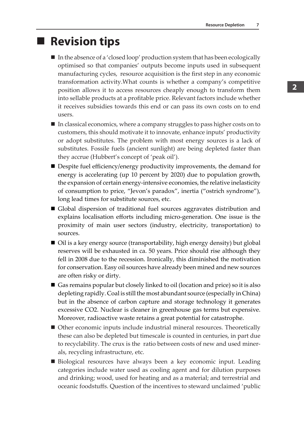### **Revision tips**

- $\blacksquare$  In the absence of a 'closed loop' production system that has been ecologically optimised so that companies' outputs become inputs used in subsequent manufacturing cycles, resource acquisition is the first step in any economic transformation activity.What counts is whether a company's competitive position allows it to access resources cheaply enough to transform them into sellable products at a profitable price. Relevant factors include whether it receives subsidies towards this end or can pass its own costs on to end users.
- In classical economics, where a company struggles to pass higher costs on to customers, this should motivate it to innovate, enhance inputs' productivity or adopt substitutes. The problem with most energy sources is a lack of substitutes. Fossile fuels (ancient sunlight) are being depleted faster than they accrue (Hubbert's concept of 'peak oil').
- Despite fuel efficiency/energy productivity improvements, the demand for energy is accelerating (up 10 percent by 2020) due to population growth, the expansion of certain energy-intensive economies, the relative inelasticity of consumption to price, "Jevon's paradox", inertia ("ostrich syndrome"), long lead times for substitute sources, etc.
- Global dispersion of traditional fuel sources aggravates distribution and explains localisation efforts including micro-generation. One issue is the proximity of main user sectors (industry, electricity, transportation) to sources.
- Oil is a key energy source (transportability, high energy density) but global reserves will be exhausted in ca. 50 years. Price should rise although they fell in 2008 due to the recession. Ironically, this diminished the motivation for conservation. Easy oil sources have already been mined and new sources are often risky or dirty.
- Gas remains popular but closely linked to oil (location and price) so it is also depleting rapidly. Coal is still the most abundant source (especially in China) but in the absence of carbon capture and storage technology it generates excessive CO2. Nuclear is cleaner in greenhouse gas terms but expensive. Moreover, radioactive waste retains a great potential for catastrophe.
- Other economic inputs include industrial mineral resources. Theoretically these can also be depleted but timescale is counted in centuries, in part due to recyclability. The crux is the ratio between costs of new and used minerals, recycling infrastructure, etc.
- Biological resources have always been a key economic input. Leading categories include water used as cooling agent and for dilution purposes and drinking; wood, used for heating and as a material; and terrestrial and oceanic foodstuffs. Question of the incentives to steward unclaimed 'public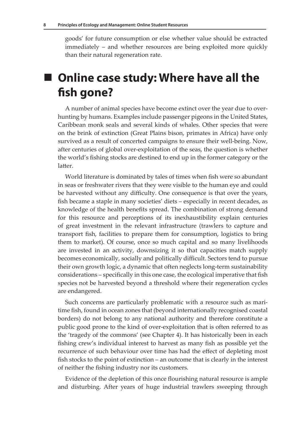goods' for future consumption or else whether value should be extracted immediately – and whether resources are being exploited more quickly than their natural regeneration rate.

# ■ Online case study: Where have all the **fish gone?**

A number of animal species have become extinct over the year due to overhunting by humans. Examples include passenger pigeons in the United States, Caribbean monk seals and several kinds of whales. Other species that were on the brink of extinction (Great Plains bison, primates in Africa) have only survived as a result of concerted campaigns to ensure their well-being. Now, after centuries of global over-exploitation of the seas, the question is whether the world's fishing stocks are destined to end up in the former category or the latter.

World literature is dominated by tales of times when fish were so abundant in seas or freshwater rivers that they were visible to the human eye and could be harvested without any difficulty. One consequence is that over the years, fish became a staple in many societies' diets – especially in recent decades, as knowledge of the health benefits spread. The combination of strong demand for this resource and perceptions of its inexhaustibility explain centuries of great investment in the relevant infrastructure (trawlers to capture and transport fish, facilities to prepare them for consumption, logistics to bring them to market). Of course, once so much capital and so many livelihoods are invested in an activity, downsizing it so that capacities match supply becomes economically, socially and politically difficult. Sectors tend to pursue their own growth logic, a dynamic that often neglects long-term sustainability considerations – specifically in this one case, the ecological imperative that fish species not be harvested beyond a threshold where their regeneration cycles are endangered.

Such concerns are particularly problematic with a resource such as maritime fish, found in ocean zones that (beyond internationally recognised coastal borders) do not belong to any national authority and therefore constitute a public good prone to the kind of over-exploitation that is often referred to as the 'tragedy of the commons' (see Chapter 4). It has historically been in each fishing crew's individual interest to harvest as many fish as possible yet the recurrence of such behaviour over time has had the effect of depleting most fish stocks to the point of extinction – an outcome that is clearly in the interest of neither the fishing industry nor its customers.

Evidence of the depletion of this once flourishing natural resource is ample and disturbing. After years of huge industrial trawlers sweeping through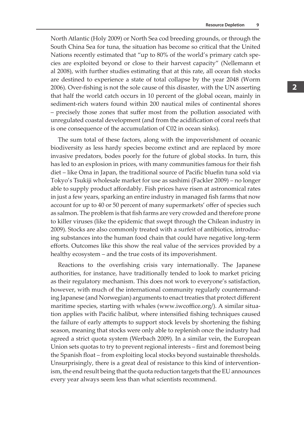North Atlantic (Holy 2009) or North Sea cod breeding grounds, or through the South China Sea for tuna, the situation has become so critical that the United Nations recently estimated that "up to 80% of the world's primary catch species are exploited beyond or close to their harvest capacity" (Nellemann et al 2008), with further studies estimating that at this rate, all ocean fish stocks are destined to experience a state of total collapse by the year 2048 (Worm 2006). Over-fishing is not the sole cause of this disaster, with the UN asserting that half the world catch occurs in 10 percent of the global ocean, mainly in sediment-rich waters found within 200 nautical miles of continental shores – precisely those zones that suffer most from the pollution associated with unregulated coastal development (and from the acidification of coral reefs that is one consequence of the accumulation of C02 in ocean sinks).

The sum total of these factors, along with the impoverishment of oceanic biodiversity as less hardy species become extinct and are replaced by more invasive predators, bodes poorly for the future of global stocks. In turn, this has led to an explosion in prices, with many communities famous for their fish diet – like Oma in Japan, the traditional source of Pacific bluefin tuna sold via Tokyo's Tsukiji wholesale market for use as sashimi (Fackler 2009) – no longer able to supply product affordably. Fish prices have risen at astronomical rates in just a few years, sparking an entire industry in managed fish farms that now account for up to 40 or 50 percent of many supermarkets' offer of species such as salmon. The problem is that fish farms are very crowded and therefore prone to killer viruses (like the epidemic that swept through the Chilean industry in 2009). Stocks are also commonly treated with a surfeit of antibiotics, introducing substances into the human food chain that could have negative long-term efforts. Outcomes like this show the real value of the services provided by a healthy ecosystem – and the true costs of its impoverishment.

Reactions to the overfishing crisis vary internationally. The Japanese authorities, for instance, have traditionally tended to look to market pricing as their regulatory mechanism. This does not work to everyone's satisfaction, however, with much of the international community regularly countermanding Japanese (and Norwegian) arguments to enact treaties that protect different maritime species, starting with whales (www.iwcoffice.org/). A similar situation applies with Pacific halibut, where intensified fishing techniques caused the failure of early attempts to support stock levels by shortening the fishing season, meaning that stocks were only able to replenish once the industry had agreed a strict quota system (Werbach 2009). In a similar vein, the European Union sets quotas to try to prevent regional interests – first and foremost being the Spanish float – from exploiting local stocks beyond sustainable thresholds. Unsurprisingly, there is a great deal of resistance to this kind of interventionism, the end result being that the quota reduction targets that the EU announces every year always seem less than what scientists recommend.